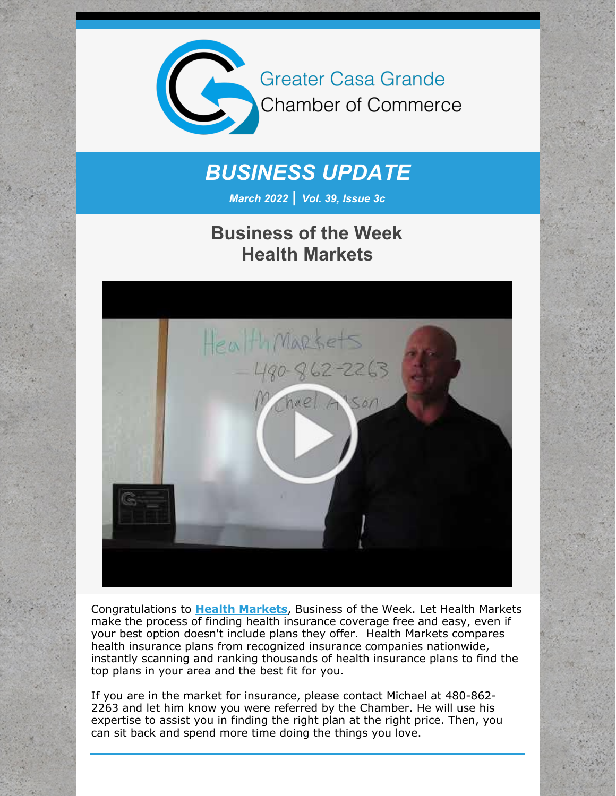

# *BUSINESS UPDATE*

*March 2022 | Vol. 39, Issue 3c*

## **Business of the Week Health Markets**



Congratulations to **Health [Markets](http://www.healthmarkets.com/)**, Business of the Week. Let Health Markets make the process of finding health insurance coverage free and easy, even if your best option doesn't include plans they offer. Health Markets compares health insurance plans from recognized insurance companies nationwide, instantly scanning and ranking thousands of health insurance plans to find the top plans in your area and the best fit for you.

If you are in the market for insurance, please contact Michael at 480-862- 2263 and let him know you were referred by the Chamber. He will use his expertise to assist you in finding the right plan at the right price. Then, you can sit back and spend more time doing the things you love.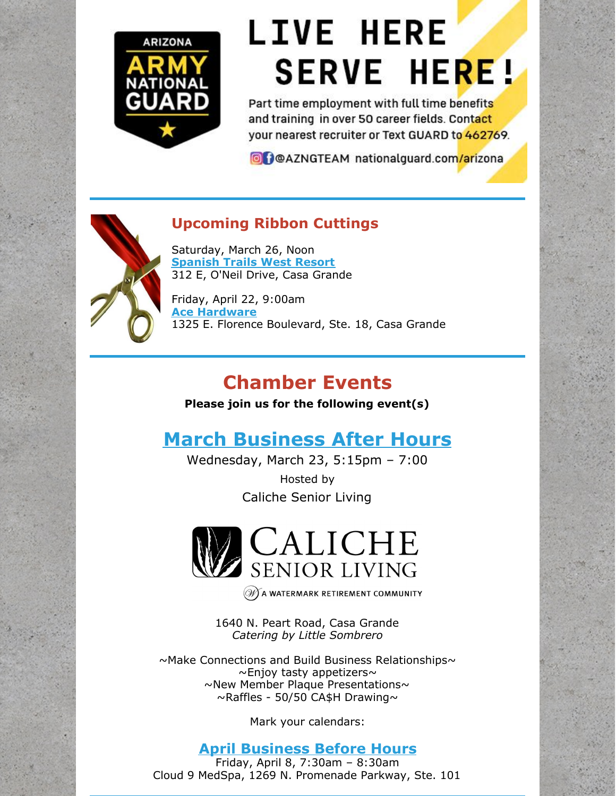

# **LIVE HERE SERVE HERE!**

Part time employment with full time benefits and training in over 50 career fields, Contact your nearest recruiter or Text GUARD to 462769.

**O** POAZNGTEAM nationalguard.com/arizona



### **Upcoming Ribbon Cuttings**

Saturday, March 26, Noon **[Spanish](https://www.spanishtrailsresort.com/) Trails West Resort** 312 E, O'Neil Drive, Casa Grande

Friday, April 22, 9:00am **Ace [Hardware](https://www.acehardware.com/store-details/17905)** 1325 E. Florence Boulevard, Ste. 18, Casa Grande

# **Chamber Events**

**Please join us for the following event(s)**

# **March [Business](https://cca.casagrandechamber.org/EvtListing.aspx?dbid2=AZCAGR&evtid=28064&class=E) After Hours**

Wednesday, March 23, 5:15pm – 7:00 Hosted by Caliche Senior Living



 $(\mathscr{W})$  A WATERMARK RETIREMENT COMMUNITY

1640 N. Peart Road, Casa Grande *Catering by Little Sombrero*

 $\sim$ Make Connections and Build Business Relationships $\sim$  $\sim$ Enjoy tasty appetizers $\sim$ ~New Member Plaque Presentations~  $\sim$ Raffles - 50/50 CA\$H Drawing $\sim$ 

Mark your calendars:

### **April [Business](https://r20.rs6.net/tn.jsp?f=001Ckx_6YZPVN0d-rXMrJtCThW8FhFpf_aC-ONB7YDYgoyT1GZgBUOW6WVg8MKRsUPyhc7_zbHSa-UBxKKo1TKLoU6-l0cr_3axF4UAoTnOsswP1EFpNPsF09bQGIdc0GVn1fYWMPAJ5CXQMNMeJ_KgLBhrnfbtQigQ8xckZPRTuv4eU6an8U0IvSlL8MPnhcBJl3Tkqk5wyf_4r4ogj3d5lVStNOzzMWcKwsfs9nbv8Oc=&c=&ch=) Before Hours**

Friday, April 8, 7:30am – 8:30am Cloud 9 MedSpa, 1269 N. Promenade Parkway, Ste. 101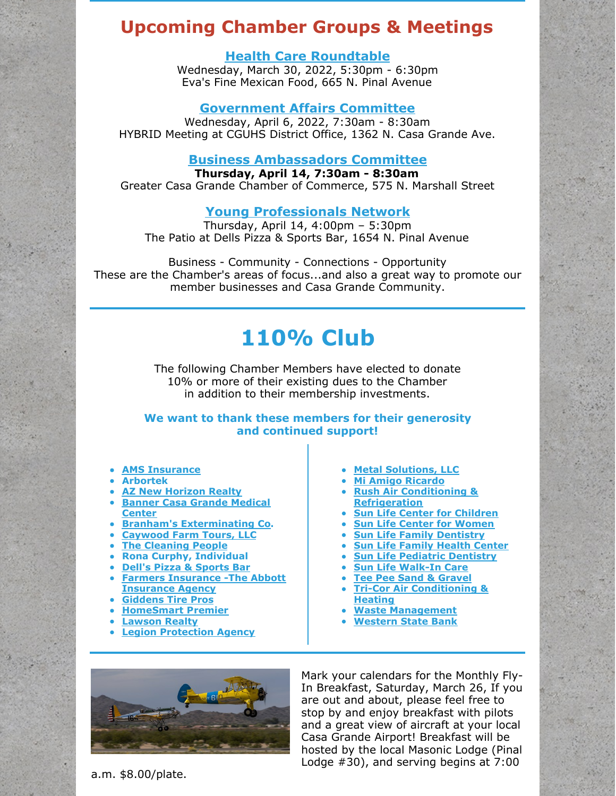### **Upcoming Chamber Groups & Meetings**

#### **Health Care [Roundtable](https://r20.rs6.net/tn.jsp?f=001Ckx_6YZPVN0d-rXMrJtCThW8FhFpf_aC-ONB7YDYgoyT1GZgBUOW6WVg8MKRsUPy9khoFdDeyVYMjDIEn-hq4nCWINh52nXP7l-VAzaDKlpOXZRz79eK-ROC-rgIfUCD-xq2U58-F6-8nljrfred5i0EDCoDZbMucrlBIj9jNN2-umSttaJY79pVzBzDBFxU9fKicsk5zilQfl_d8IxChzRGY7gn2I3UuOLj96seGl0=&c=&ch=)**

Wednesday, March 30, 2022, 5:30pm - 6:30pm Eva's Fine Mexican Food, 665 N. Pinal Avenue

#### **[Government](https://r20.rs6.net/tn.jsp?f=001Ckx_6YZPVN0d-rXMrJtCThW8FhFpf_aC-ONB7YDYgoyT1GZgBUOW6WVg8MKRsUPyqA6Lf3LjTdWlUnVHDPVZDV3MkKxBJJvzM96tGUPKnhmGgTY4E1S25QhBsw-FfpIr8GCwk0PHCbbQcks7VDFXXdsB9htsCI2GO0377keQc-7TzB65psdEQr5OD4GJ9ruehsRqDza8RXbQo3jt4XZBcb0bApcgczX0bRzym5nS7LE=&c=&ch=) Affairs Committee**

Wednesday, April 6, 2022, 7:30am - 8:30am HYBRID Meeting at CGUHS District Office, 1362 N. Casa Grande Ave.

#### **Business [Ambassadors](https://r20.rs6.net/tn.jsp?f=001Ckx_6YZPVN0d-rXMrJtCThW8FhFpf_aC-ONB7YDYgoyT1GZgBUOW6WVg8MKRsUPyRhGf_dIf8__5ramZle8FK_lhOuhMGk1Ns9cgkN_20vk_gNnoLT0xtrdC6qVK_03AK0PGIzc5oJWshEvf0DoKWT7tUnyffunFXkVLbKKtx7g2mkKlhWbwhG1QHtnV1q2qZmjL135rwMAR49baOFPBA3TRAL2QjRK1Y_qZmxkA_pA=&c=&ch=) Committee**

**Thursday, April 14, 7:30am - 8:30am** Greater Casa Grande Chamber of Commerce, 575 N. Marshall Street

#### **Young [Professionals](https://r20.rs6.net/tn.jsp?f=001Ckx_6YZPVN0d-rXMrJtCThW8FhFpf_aC-ONB7YDYgoyT1GZgBUOW6WVg8MKRsUPyYeGvXYPWEtZ0r3l8__NA17lAQJq0oU6aPKwJiam2Bmwql5aegSThWsY9_s1vWAXbKiHLrt2TUqj4TE3x8IQS-5iWuGhnfNqmFfLpv0BdyADmGziUCjsx0HVA9RbNCkHsW2qc3Wed8ljcUK4NByFD-mrlOx6S8OFz_6RlRcdR8bI=&c=&ch=) Network**

Thursday, April 14, 4:00pm – 5:30pm The Patio at Dells Pizza & Sports Bar, 1654 N. Pinal Avenue

Business - Community - Connections - Opportunity These are the Chamber's areas of focus...and also a great way to promote our member businesses and Casa Grande Community.

# **110% Club**

The following Chamber Members have elected to donate 10% or more of their existing dues to the Chamber in addition to their membership investments.

**We want to thank these members for their generosity and continued support!**

- **AMS [Insurance](https://amsins.com/)**
- **Arbortek**
- **AZ New [Horizon](http://www.aznewhorizonrealty.com) Realty**
- **Banner Casa Grande [Medical](http://r20.rs6.net/tn.jsp?f=0019uBi_osM7ZPkA4bzYG63TQEAoSIouTpwF-c07fGaIQ9Fja61vcnz7qhLmyXCf-XD6OflbUvUdm5QFUj9A4zq_Ivqyoa1IxuiSf4hzhqit5oQ-36wwT_1QmUgDl8wQv6Ii1kokgoYOIzBak2QZUjwZj8QPhdDOOPq2D3ajWGJnwxxBggelkPmWQKQDou3WI6caRiubREMpcCjZpetP_nxwqWtN5McsbMBwZjH7vKHIsQ=&c=&ch=) Center**
- **Branham's [Exterminating](http://www.branhamspest.com) Co.**
- **[Caywood](http://r20.rs6.net/tn.jsp?f=0019uBi_osM7ZPkA4bzYG63TQEAoSIouTpwF-c07fGaIQ9Fja61vcnz7qhLmyXCf-XDz7Q5Zt660-Qx8aIs1cKt8lz1btAeu0QtuGirE6R8K10TxgGiAseCoMUE-oF8bXhtlHyqgLzdFG1GsUWGsnqJvQ==&c=&ch=) Farm Tours, LLC**
- **The [Cleaning](https://tcpasap.com/) People**
- **Rona Curphy, Individual**
- **Dell's Pizza & [Sports](http://r20.rs6.net/tn.jsp?f=0019uBi_osM7ZPkA4bzYG63TQEAoSIouTpwF-c07fGaIQ9Fja61vcnz7qhLmyXCf-XDlafA05H1ZPMBvIKcY_ZjskxhojcC-YYD6j7VjyN7mMbq8NVUSZahriRkDtj_hxmEgcDftJ6rYKUzEtXEm8nTcQ==&c=&ch=) Bar**
- **Farmers Insurance -The Abbott [Insurance](http://r20.rs6.net/tn.jsp?f=0019uBi_osM7ZPkA4bzYG63TQEAoSIouTpwF-c07fGaIQ9Fja61vcnz7kRLSjye1Yc5FcffGM8V155U4Pkzi-R_3LHN7wEY_TdOhGmbZgJheQIR0NBpJ2fd_yHJ5o4GtQF67lNWnloeUTH5hEtz6Mg8qb3JMd5W4mOq&c=&ch=) Agency**
- **[Giddens](http://r20.rs6.net/tn.jsp?f=0019uBi_osM7ZPkA4bzYG63TQEAoSIouTpwF-c07fGaIQ9Fja61vcnz7qhLmyXCf-XDQQ3qElueEXN6d13WRKGCJlyQYAs9lh_6_beEiRXNNm-KhqxyO_Leyio7iJE1e912Yrt1ONu6cAbR3qs-SqLDBQ==&c=&ch=) Tire Pros**
- **[HomeSmart](http://r20.rs6.net/tn.jsp?f=0019uBi_osM7ZPkA4bzYG63TQEAoSIouTpwF-c07fGaIQ9Fja61vcnz7j48MYNteYsebMreJOlbU2_fJ9zuezUjwxTlLBCgSkhS6yThfBfYkOWP4PBJN0Hn03D-t6cIZDlzcMqNKHaujjfGN_GXCUYoYEuEY8p5Cyvs&c=&ch=) Premier**
- **[Lawson](http://www.casagranderealestate.com) Realty**
- **Legion [Protection](http://www.legionprotectionagency.com) Agency**
- **Metal [Solutions,](http://www.metalsolutionsaz.com/) LLC**
- **Mi Amigo [Ricardo](http://r20.rs6.net/tn.jsp?f=0019uBi_osM7ZPkA4bzYG63TQEAoSIouTpwF-c07fGaIQ9Fja61vcnz7qhLmyXCf-XDAAjFuM0nvFjJx5ot0Rstt5BSqdAzWowS9DtN-J2V3M3AQ32uNEWNZE9pQzyOr-N5r4jXY3IGK0TvGJSXERn0nj3SnXUSJnv-nEi5AG3j1YkTTVX3_Njkdck4ktl7P0Mk589y2-OVRPM=&c=&ch=)**
- **Rush Air Conditioning & [Refrigeration](http://www.rushairconditioning.com)**
- **Sun Life Center for [Children](https://www.slfhc.org/location/casa-grande-center-for-children/)**
- **Sun Life Center for [Women](https://www.slfhc.org/location/casa-grande-center-for-women/)**
- **Sun Life Family [Dentistry](https://www.slfhc.org/location/casa-grande-family-dentistry/)**
- **Sun Life [Family](https://www.slfhc.org/location/casa-grande/) Health Center**
- **Sun Life Pediatric [Dentistry](https://www.slfhc.org/location/casa-grande-pediatric-dentistry/)**
- **Sun Life [Walk-In](http://www.slfhc.org) Care**
- **Tee Pee Sand & [Gravel](http://www.teepeesand-gravel.com)**
- **Tri-Cor Air [Conditioning](http://r20.rs6.net/tn.jsp?f=0019uBi_osM7ZPkA4bzYG63TQEAoSIouTpwF-c07fGaIQ9Fja61vcnz7qhLmyXCf-XD1xjfpNekQKZHw5le_qH1Mbuz27_4T6Mm7jr4h2GG0GHdaE_mu8_3nRLSGw703yLHylEDT5nkvARJwU4z_sj_mA==&c=&ch=) & Heating**
- **Waste [Management](http://www.wm.com)**
- **[Western](http://r20.rs6.net/tn.jsp?f=0019uBi_osM7ZPkA4bzYG63TQEAoSIouTpwF-c07fGaIQ9Fja61vcnz7qhLmyXCf-XDQ3RjK6jBo4wekr8NlLsWHvPaHMLhmhfZxpQFlMg7W4BGA2T5De3Y6q9ol954M1i_ev0F8wM7lQyA6jBDWzigfA==&c=&ch=) State Bank**



Mark your calendars for the Monthly Fly-In Breakfast, Saturday, March 26, If you are out and about, please feel free to stop by and enjoy breakfast with pilots and a great view of aircraft at your local Casa Grande Airport! Breakfast will be hosted by the local Masonic Lodge (Pinal Lodge #30), and serving begins at 7:00

a.m. \$8.00/plate.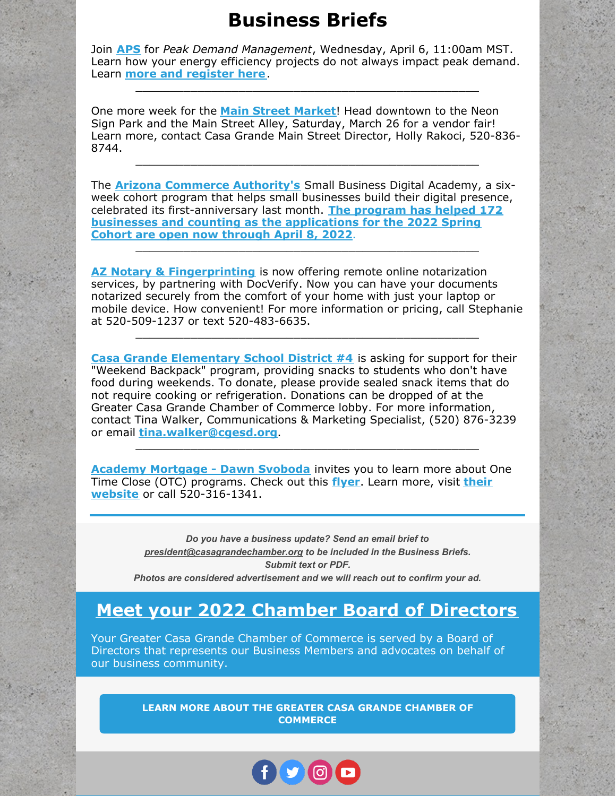### **Business Briefs**

Join **[APS](http://www.aps.com)** for *Peak Demand Management*, Wednesday, April 6, 11:00am MST. Learn how your energy efficiency projects do not always impact peak demand. Learn **more and [register](https://webinars.questline.com/questline-inc/APS-Presents-Peak-Demand-Management) here**.

\_\_\_\_\_\_\_\_\_\_\_\_\_\_\_\_\_\_\_\_\_\_\_\_\_\_\_\_\_\_\_\_\_\_\_\_\_\_\_\_\_\_\_\_\_\_\_\_\_\_

One more week for the **Main Street [Market](http://www.cgmainstreet.org)**! Head downtown to the Neon Sign Park and the Main Street Alley, Saturday, March 26 for a vendor fair! Learn more, contact Casa Grande Main Street Director, Holly Rakoci, 520-836- 8744.

\_\_\_\_\_\_\_\_\_\_\_\_\_\_\_\_\_\_\_\_\_\_\_\_\_\_\_\_\_\_\_\_\_\_\_\_\_\_\_\_\_\_\_\_\_\_\_\_\_\_

The **Arizona Commerce [Authority's](http://www.azcommerce.com)** Small Business Digital Academy, a sixweek cohort program that helps small businesses build their digital presence, celebrated its [first-anniversary](https://go.azcommerce.com/e/629661/usiness-digital-academy-apply-/3614ps/541910903?h=t75IzP7c9cUXadL3SGk2Qu62diGPfWLUalkA8UBIGQQ) last month. **The program has helped 172 businesses and counting as the applications for the 2022 Spring Cohort are open now through April 8, 2022**.

\_\_\_\_\_\_\_\_\_\_\_\_\_\_\_\_\_\_\_\_\_\_\_\_\_\_\_\_\_\_\_\_\_\_\_\_\_\_\_\_\_\_\_\_\_\_\_\_\_\_

**AZ Notary & [Fingerprinting](http://www.aznotaryandfingerprinting.com/)** is now offering remote online notarization services, by partnering with DocVerify. Now you can have your documents notarized securely from the comfort of your home with just your laptop or mobile device. How convenient! For more information or pricing, call Stephanie at 520-509-1237 or text 520-483-6635.

\_\_\_\_\_\_\_\_\_\_\_\_\_\_\_\_\_\_\_\_\_\_\_\_\_\_\_\_\_\_\_\_\_\_\_\_\_\_\_\_\_\_\_\_\_\_\_\_\_\_

**Casa Grande [Elementary](http://www.cgesd.org) School District #4** is asking for support for their "Weekend Backpack" program, providing snacks to students who don't have food during weekends. To donate, please provide sealed snack items that do not require cooking or refrigeration. Donations can be dropped of at the Greater Casa Grande Chamber of Commerce lobby. For more information, contact Tina Walker, Communications & Marketing Specialist, (520) 876-3239 or email **[tina.walker@cgesd.org](mailto:tina.walker@cgesd.org)**.

**Academy [Mortgage](https://r20.rs6.net/tn.jsp?f=001EN734VFBR0ZW5182MWC7XiScX5aZXIf-MxpOOFzS8OCmPak4uUmITSCk2uuwvCgCaZQ5-UxEK2JWHVDQ7FoLA8w75id_Uix9KmBZtbQ0DCKuOtCFgVehmRzFKMpxezjoaTRoO2eFQIY9HUSXwrFTj6B8KaWTRlb7io4WYesFRMC853xjm-4Ool-BTCL_Js2ZOiU4tj0zLjsRYtFXiXaMtB8VUb3QYysi8mEwAsijzo8=&c=sxxBZ2Lc7UB6pzbS3jycbIGlNDXdj8D_ogD0TSkOZYu07N4pp-wobA==&ch=0d1p0Az7npJT63MUnmUPNO4hj_sy-7R6HjfThGZd2xJ3-FMa2cRIkA==) - Dawn Svoboda** invites you to learn more about One Time Clo[s](https://r20.rs6.net/tn.jsp?f=001EN734VFBR0ZW5182MWC7XiScX5aZXIf-MxpOOFzS8OCmPak4uUmITb5NGfAeUMPhoOVntnf6pHVF1qOACoWlzyt1tZX0SsOYAMR8VVrNfitU1xvvM3eFnI6raup7cqe2vCNJQ3RFOH0f_Hy6Dx40upzLm_i02U_wv4AhoOs39yk=&c=sxxBZ2Lc7UB6pzbS3jycbIGlNDXdj8D_ogD0TSkOZYu07N4pp-wobA==&ch=0d1p0Az7npJT63MUnmUPNO4hj_sy-7R6HjfThGZd2xJ3-FMa2cRIkA==)e (OTC) programs. Check out this **[flyer](https://files.constantcontact.com/8c5f2f7b701/85c0625c-2897-45b5-bee8-67fc1904d511.pdf?rdr=true)**. Learn more, visit **their website** or call [520-316-1341.](https://r20.rs6.net/tn.jsp?f=001EN734VFBR0ZW5182MWC7XiScX5aZXIf-MxpOOFzS8OCmPak4uUmITb5NGfAeUMPhoOVntnf6pHVF1qOACoWlzyt1tZX0SsOYAMR8VVrNfitU1xvvM3eFnI6raup7cqe2vCNJQ3RFOH0f_Hy6Dx40upzLm_i02U_wv4AhoOs39yk=&c=sxxBZ2Lc7UB6pzbS3jycbIGlNDXdj8D_ogD0TSkOZYu07N4pp-wobA==&ch=0d1p0Az7npJT63MUnmUPNO4hj_sy-7R6HjfThGZd2xJ3-FMa2cRIkA==)

\_\_\_\_\_\_\_\_\_\_\_\_\_\_\_\_\_\_\_\_\_\_\_\_\_\_\_\_\_\_\_\_\_\_\_\_\_\_\_\_\_\_\_\_\_\_\_\_\_\_

*Do you have a business update? Send an email brief to [president@casagrandechamber.org](mailto:events@casagrandechamber.org) to be included in the Business Briefs. Submit text or PDF. Photos are considered advertisement and we will reach out to confirm your ad.*

### **Meet your 2022 Chamber Board of [Directors](https://casagrandechamber.org/board-of-directors/)**

Your Greater Casa Grande Chamber of Commerce is served by a Board of Directors that represents our Business Members and advocates on behalf of our business community.

> **LEARN MORE ABOUT THE GREATER CASA GRANDE CHAMBER OF [COMMERCE](http://casagrandechamber.org)**